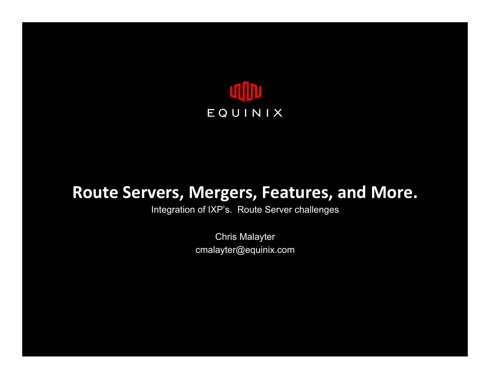

# Route Servers, Mergers, Features, and More.

Integration of IXP's. Route Server challenges

Chris Malayter cmalayter@equinix.com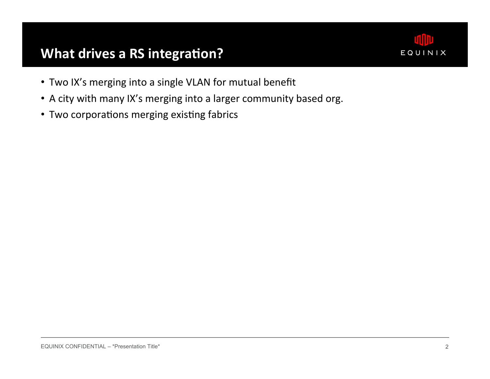### What drives a RS integration?



- . Two IX's merging into a single VLAN for mutual benefit
- A city with many IX's merging into a larger community based org.
- Two corporations merging existing fabrics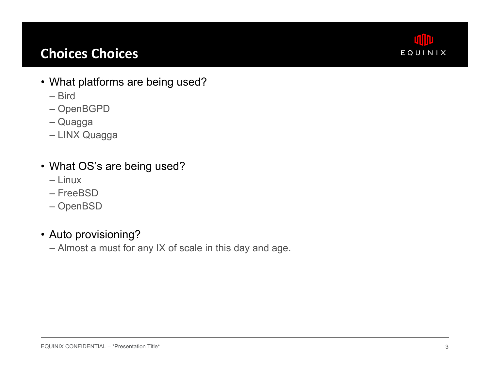## **Choices Choices**



- What platforms are being used?
	- Bird
	- OpenBGPD
	- Quagga
	- LINX Quagga
- What OS's are being used?
	- Linux
	- FreeBSD
	- OpenBSD
- Auto provisioning?
	- Almost a must for any IX of scale in this day and age.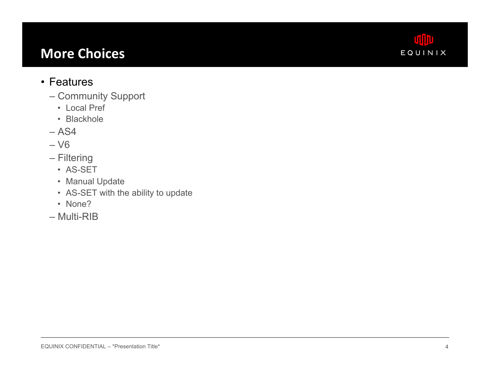### **More Choices**



#### • Features

- Community Support
	- Local Pref
	- Blackhole
- $-$  AS4
- V6
- Filtering
	- AS-SET
	- Manual Update
	- AS-SET with the ability to update
	- None?
- Multi-RIB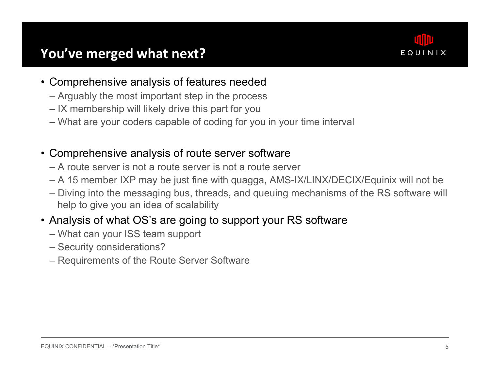

- Comprehensive analysis of features needed
	- Arguably the most important step in the process
	- IX membership will likely drive this part for you
	- What are your coders capable of coding for you in your time interval
- Comprehensive analysis of route server software
	- A route server is not a route server is not a route server
	- A 15 member IXP may be just fine with quagga, AMS-IX/LINX/DECIX/Equinix will not be
	- Diving into the messaging bus, threads, and queuing mechanisms of the RS software will help to give you an idea of scalability
- Analysis of what OS's are going to support your RS software
	- What can your ISS team support
	- Security considerations?
	- Requirements of the Route Server Software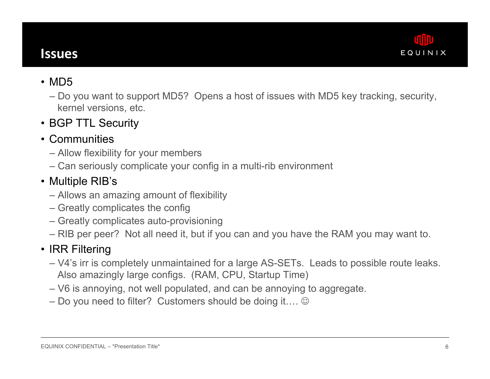

#### **Issues&**

- MD5
	- Do you want to support MD5? Opens a host of issues with MD5 key tracking, security, kernel versions, etc.
- BGP TTL Security
- Communities
	- Allow flexibility for your members
	- Can seriously complicate your config in a multi-rib environment

#### • Multiple RIB's

- Allows an amazing amount of flexibility
- Greatly complicates the config
- Greatly complicates auto-provisioning
- RIB per peer? Not all need it, but if you can and you have the RAM you may want to.

#### • IRR Filtering

- V4's irr is completely unmaintained for a large AS-SETs. Leads to possible route leaks. Also amazingly large configs. (RAM, CPU, Startup Time)
- V6 is annoying, not well populated, and can be annoying to aggregate.
- Do you need to filter? Customers should be doing it....  $\odot$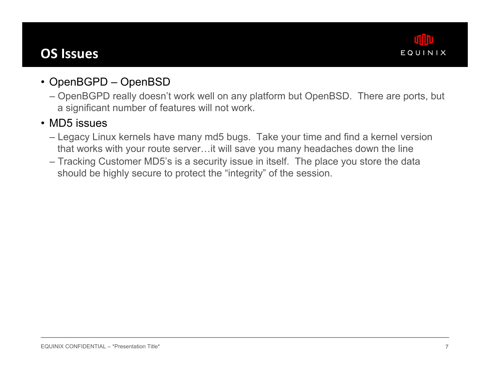### **OS Issues**



### • OpenBGPD – OpenBSD

– OpenBGPD really doesn't work well on any platform but OpenBSD. There are ports, but a significant number of features will not work.

#### • MD5 issues

- Legacy Linux kernels have many md5 bugs. Take your time and find a kernel version that works with your route server…it will save you many headaches down the line
- Tracking Customer MD5's is a security issue in itself. The place you store the data should be highly secure to protect the "integrity" of the session.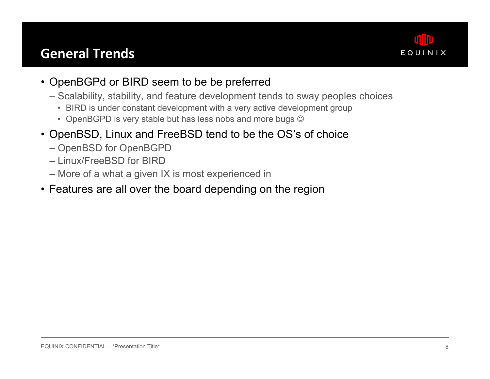### **General Trends**



- OpenBGPd or BIRD seem to be be preferred
	- Scalability, stability, and feature development tends to sway peoples choices
		- BIRD is under constant development with a very active development group
		- OpenBGPD is very stable but has less nobs and more bugs  $\odot$
- OpenBSD, Linux and FreeBSD tend to be the OS's of choice
	- OpenBSD for OpenBGPD
	- Linux/FreeBSD for BIRD
	- More of a what a given IX is most experienced in
- Features are all over the board depending on the region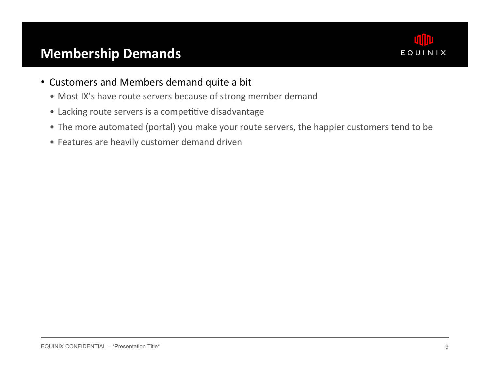### **Membership Demands**



- Customers and Members demand quite a bit
	- Most IX's have route servers because of strong member demand
	- Lacking route servers is a competitive disadvantage
	- The more automated (portal) you make your route servers, the happier customers tend to be
	- Features are heavily customer demand driven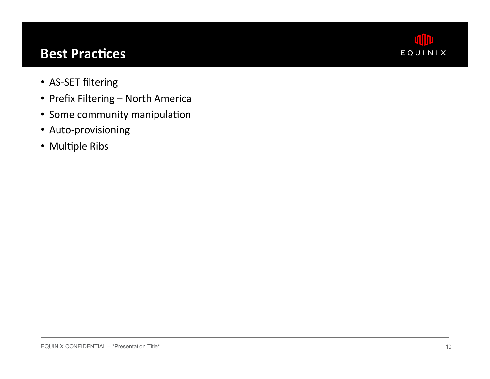### **Best Practices**



- AS-SET filtering
- Prefix Filtering North America
- Some community manipulation
- Auto-provisioning
- Multiple Ribs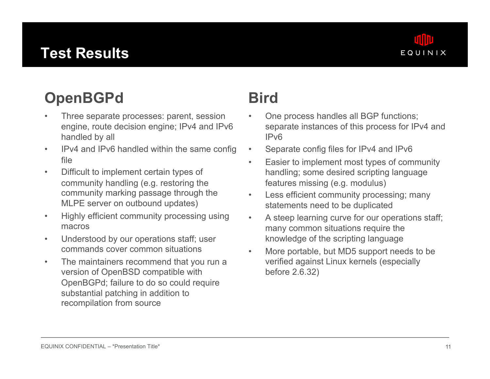# **Test Results**



# **OpenBGPd**

- Three separate processes: parent, session engine, route decision engine; IPv4 and IPv6 handled by all
- IPv4 and IPv6 handled within the same config file
- Difficult to implement certain types of community handling (e.g. restoring the community marking passage through the MLPE server on outbound updates)
- Highly efficient community processing using macros
- Understood by our operations staff; user commands cover common situations
- The maintainers recommend that you run a version of OpenBSD compatible with OpenBGPd; failure to do so could require substantial patching in addition to recompilation from source

# **Bird**

- One process handles all BGP functions; separate instances of this process for IPv4 and IPv6
- Separate config files for IPv4 and IPv6
- Easier to implement most types of community handling; some desired scripting language features missing (e.g. modulus)
- Less efficient community processing; many statements need to be duplicated
- A steep learning curve for our operations staff; many common situations require the knowledge of the scripting language
- More portable, but MD5 support needs to be verified against Linux kernels (especially before 2.6.32)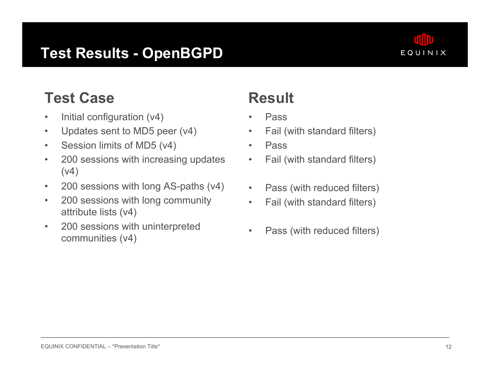## **Test Results - OpenBGPD**



# **Test Case**

- Initial configuration (v4)
- Updates sent to MD5 peer (v4)
- Session limits of MD5 (v4)
- 200 sessions with increasing updates (v4)
- 200 sessions with long AS-paths (v4)
- 200 sessions with long community attribute lists (v4)
- 200 sessions with uninterpreted communities (v4)

# **Result**

- Pass
- Fail (with standard filters)
- Pass
- Fail (with standard filters)
- Pass (with reduced filters)
- Fail (with standard filters)
- Pass (with reduced filters)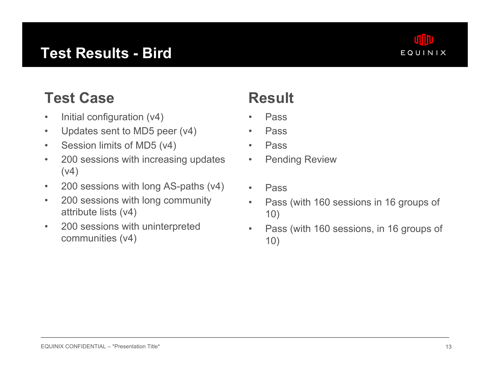## **Test Results - Bird**



# **Test Case**

- Initial configuration (v4)
- Updates sent to MD5 peer (v4)
- Session limits of MD5 (v4)
- 200 sessions with increasing updates (v4)
- 200 sessions with long AS-paths (v4)
- 200 sessions with long community attribute lists (v4)
- 200 sessions with uninterpreted communities (v4)

# **Result**

- Pass
- Pass
- Pass
- Pending Review
- Pass
- Pass (with 160 sessions in 16 groups of 10)
- Pass (with 160 sessions, in 16 groups of 10)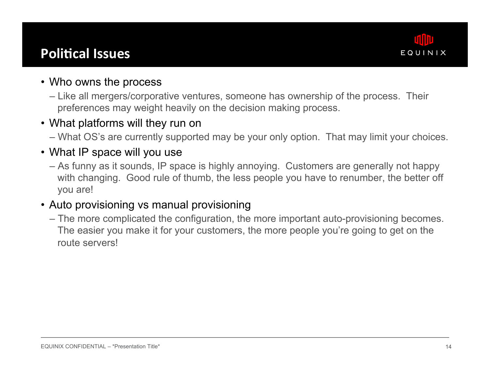### **Political Issues**



#### • Who owns the process

– Like all mergers/corporative ventures, someone has ownership of the process. Their preferences may weight heavily on the decision making process.

#### • What platforms will they run on

– What OS's are currently supported may be your only option. That may limit your choices.

#### • What IP space will you use

– As funny as it sounds, IP space is highly annoying. Customers are generally not happy with changing. Good rule of thumb, the less people you have to renumber, the better off you are!

#### • Auto provisioning vs manual provisioning

– The more complicated the configuration, the more important auto-provisioning becomes. The easier you make it for your customers, the more people you're going to get on the route servers!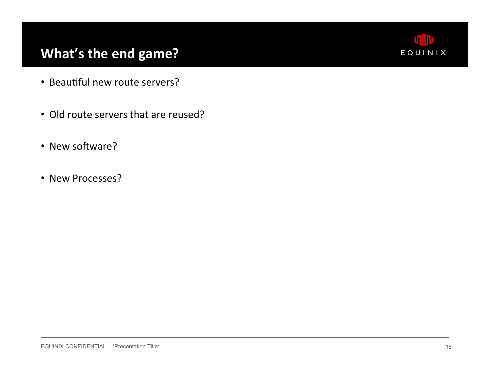## What's the end game?



- Beautiful new route servers?
- Old route servers that are reused?
- New software?
- New Processes?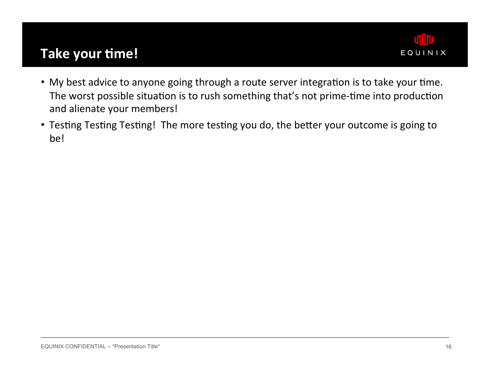### **Take your time!**



- . My best advice to anyone going through a route server integration is to take your time. The worst possible situation is to rush something that's not prime-time into production and alienate your members!
- Testing Testing Testing! The more testing you do, the better your outcome is going to be!